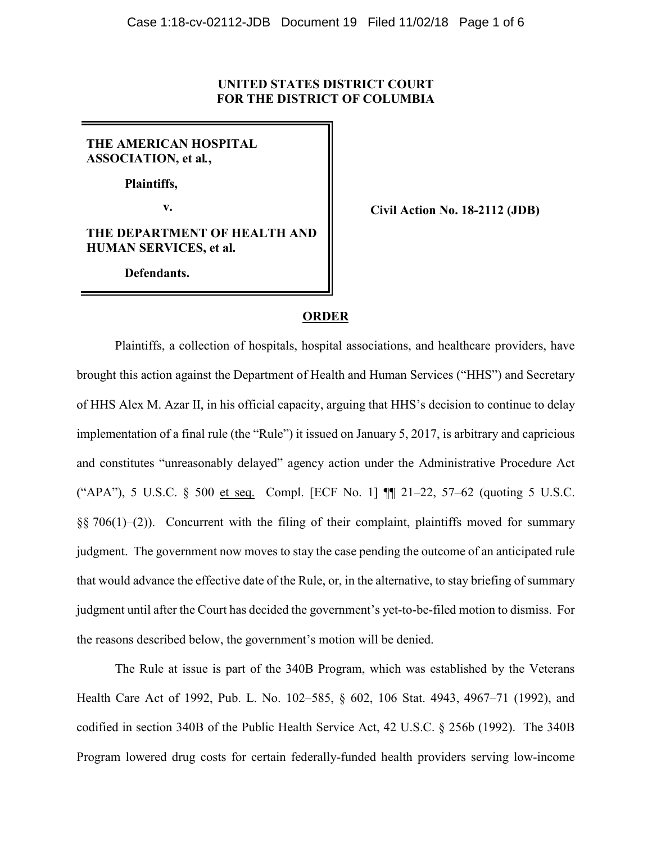### **UNITED STATES DISTRICT COURT FOR THE DISTRICT OF COLUMBIA**

# **THE AMERICAN HOSPITAL ASSOCIATION, et al***.***,**

**Plaintiffs,**

**THE DEPARTMENT OF HEALTH AND HUMAN SERVICES, et al.**

**Defendants.**

**v. Civil Action No. 18-2112 (JDB)**

## **ORDER**

Plaintiffs, a collection of hospitals, hospital associations, and healthcare providers, have brought this action against the Department of Health and Human Services ("HHS") and Secretary of HHS Alex M. Azar II, in his official capacity, arguing that HHS's decision to continue to delay implementation of a final rule (the "Rule") it issued on January 5, 2017, is arbitrary and capricious and constitutes "unreasonably delayed" agency action under the Administrative Procedure Act ("APA"), 5 U.S.C. § 500 et seq. Compl. [ECF No. 1] ¶¶ 21–22, 57–62 (quoting 5 U.S.C.  $\S$ § 706(1)–(2)). Concurrent with the filing of their complaint, plaintiffs moved for summary judgment. The government now moves to stay the case pending the outcome of an anticipated rule that would advance the effective date of the Rule, or, in the alternative, to stay briefing of summary judgment until after the Court has decided the government's yet-to-be-filed motion to dismiss. For the reasons described below, the government's motion will be denied.

The Rule at issue is part of the 340B Program, which was established by the Veterans Health Care Act of 1992, Pub. L. No. 102–585, § 602, 106 Stat. 4943, 4967–71 (1992), and codified in section 340B of the Public Health Service Act, 42 U.S.C. § 256b (1992). The 340B Program lowered drug costs for certain federally-funded health providers serving low-income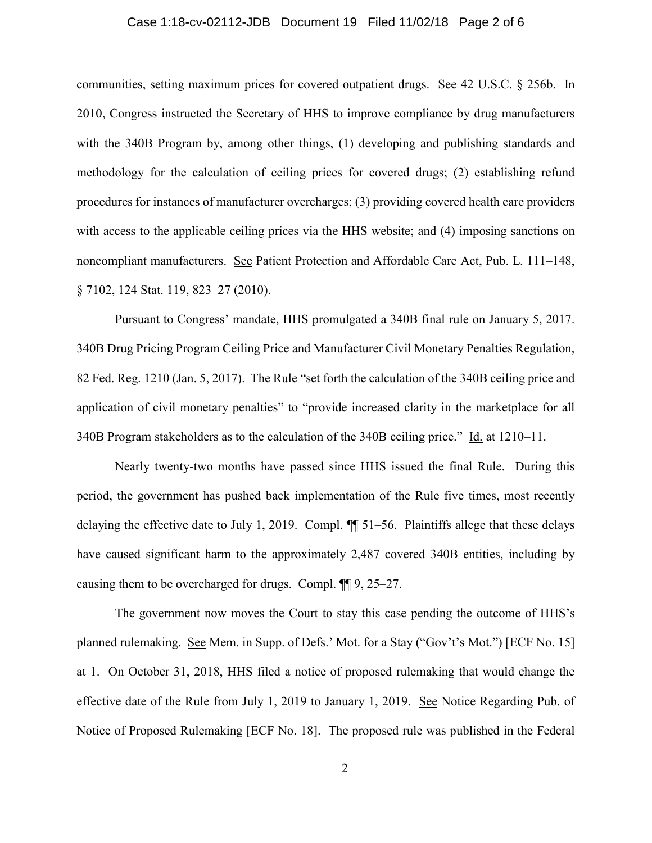### Case 1:18-cv-02112-JDB Document 19 Filed 11/02/18 Page 2 of 6

communities, setting maximum prices for covered outpatient drugs. See 42 U.S.C. § 256b. In 2010, Congress instructed the Secretary of HHS to improve compliance by drug manufacturers with the 340B Program by, among other things, (1) developing and publishing standards and methodology for the calculation of ceiling prices for covered drugs; (2) establishing refund procedures for instances of manufacturer overcharges; (3) providing covered health care providers with access to the applicable ceiling prices via the HHS website; and (4) imposing sanctions on noncompliant manufacturers. See Patient Protection and Affordable Care Act, Pub. L. 111–148, § 7102, 124 Stat. 119, 823-27 (2010).

Pursuant to Congress' mandate, HHS promulgated a 340B final rule on January 5, 2017. 340B Drug Pricing Program Ceiling Price and Manufacturer Civil Monetary Penalties Regulation, 82 Fed. Reg. 1210 (Jan. 5, 2017). The Rule "set forth the calculation of the 340B ceiling price and application of civil monetary penalties" to "provide increased clarity in the marketplace for all 340B Program stakeholders as to the calculation of the 340B ceiling price." Id. at 1210–11.

Nearly twenty-two months have passed since HHS issued the final Rule. During this period, the government has pushed back implementation of the Rule five times, most recently delaying the effective date to July 1, 2019. Compl.  $\P$  51–56. Plaintiffs allege that these delays have caused significant harm to the approximately 2,487 covered 340B entities, including by causing them to be overcharged for drugs. Compl. ¶¶ 9, 25–27.

The government now moves the Court to stay this case pending the outcome of HHS's planned rulemaking. See Mem. in Supp. of Defs.' Mot. for a Stay ("Gov't's Mot.") [ECF No. 15] at 1. On October 31, 2018, HHS filed a notice of proposed rulemaking that would change the effective date of the Rule from July 1, 2019 to January 1, 2019. See Notice Regarding Pub. of Notice of Proposed Rulemaking [ECF No. 18]. The proposed rule was published in the Federal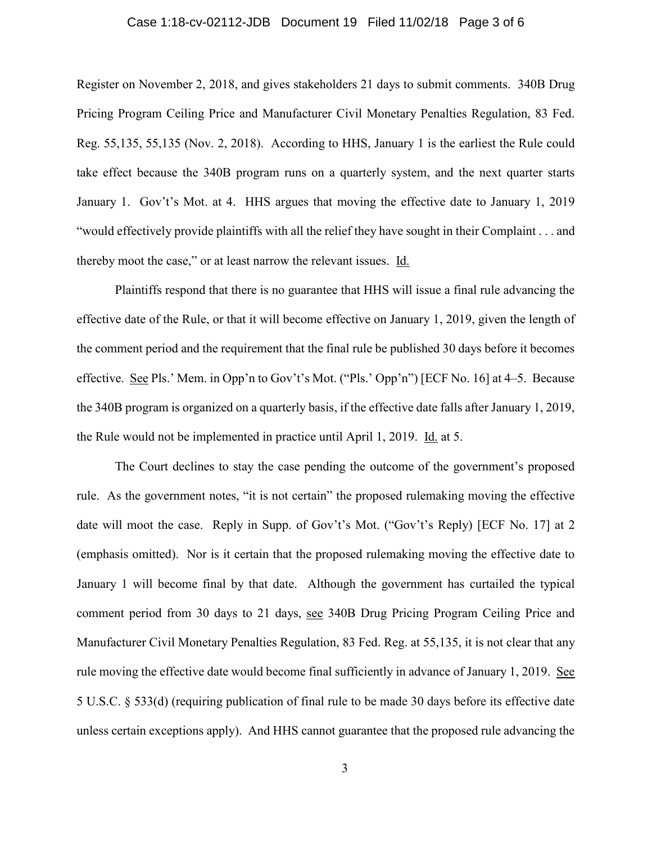### Case 1:18-cv-02112-JDB Document 19 Filed 11/02/18 Page 3 of 6

Register on November 2, 2018, and gives stakeholders 21 days to submit comments. 340B Drug Pricing Program Ceiling Price and Manufacturer Civil Monetary Penalties Regulation, 83 Fed. Reg. 55,135, 55,135 (Nov. 2, 2018). According to HHS, January 1 is the earliest the Rule could take effect because the 340B program runs on a quarterly system, and the next quarter starts January 1. Gov't's Mot. at 4. HHS argues that moving the effective date to January 1, 2019 "would effectively provide plaintiffs with all the relief they have sought in their Complaint . . . and thereby moot the case," or at least narrow the relevant issues. Id.

Plaintiffs respond that there is no guarantee that HHS will issue a final rule advancing the effective date of the Rule, or that it will become effective on January 1, 2019, given the length of the comment period and the requirement that the final rule be published 30 days before it becomes effective. See Pls.' Mem. in Opp'n to Gov't's Mot. ("Pls.' Opp'n") [ECF No. 16] at 4–5. Because the 340B program is organized on a quarterly basis, if the effective date falls after January 1, 2019, the Rule would not be implemented in practice until April 1, 2019. Id. at 5.

The Court declines to stay the case pending the outcome of the government's proposed rule. As the government notes, "it is not certain" the proposed rulemaking moving the effective date will moot the case. Reply in Supp. of Gov't's Mot. ("Gov't's Reply) [ECF No. 17] at 2 (emphasis omitted). Nor is it certain that the proposed rulemaking moving the effective date to January 1 will become final by that date. Although the government has curtailed the typical comment period from 30 days to 21 days, see 340B Drug Pricing Program Ceiling Price and Manufacturer Civil Monetary Penalties Regulation, 83 Fed. Reg. at 55,135, it is not clear that any rule moving the effective date would become final sufficiently in advance of January 1, 2019. See 5 U.S.C. § 533(d) (requiring publication of final rule to be made 30 days before its effective date unless certain exceptions apply). And HHS cannot guarantee that the proposed rule advancing the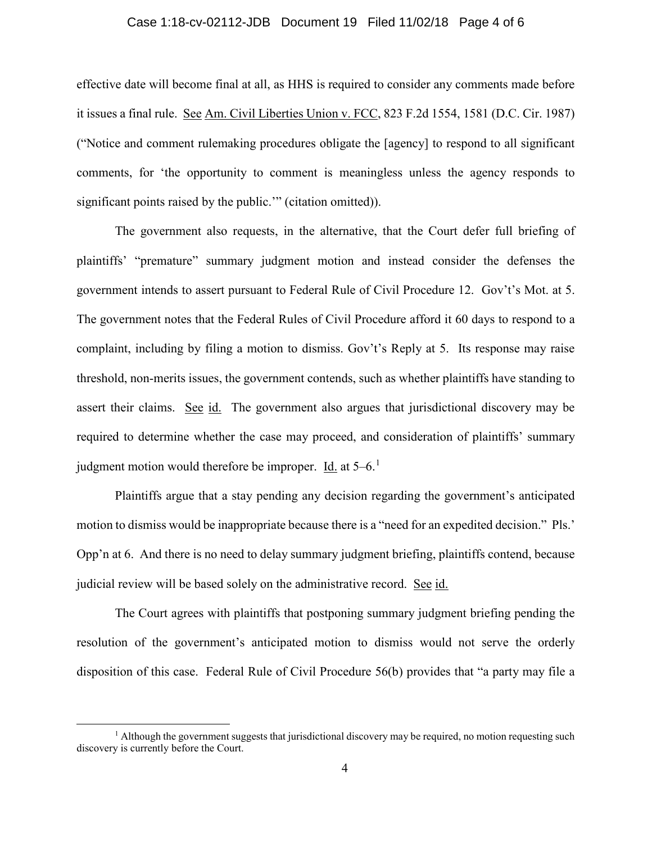### Case 1:18-cv-02112-JDB Document 19 Filed 11/02/18 Page 4 of 6

effective date will become final at all, as HHS is required to consider any comments made before it issues a final rule. See Am. Civil Liberties Union v. FCC, 823 F.2d 1554, 1581 (D.C. Cir. 1987) ("Notice and comment rulemaking procedures obligate the [agency] to respond to all significant comments, for 'the opportunity to comment is meaningless unless the agency responds to significant points raised by the public." (citation omitted)).

The government also requests, in the alternative, that the Court defer full briefing of plaintiffs' "premature" summary judgment motion and instead consider the defenses the government intends to assert pursuant to Federal Rule of Civil Procedure 12. Gov't's Mot. at 5. The government notes that the Federal Rules of Civil Procedure afford it 60 days to respond to a complaint, including by filing a motion to dismiss. Gov't's Reply at 5. Its response may raise threshold, non-merits issues, the government contends, such as whether plaintiffs have standing to assert their claims. See id. The government also argues that jurisdictional discovery may be required to determine whether the case may proceed, and consideration of plaintiffs' summary judgment motion would therefore be improper. Id. at  $5-6$ .<sup>[1](#page-3-0)</sup>

Plaintiffs argue that a stay pending any decision regarding the government's anticipated motion to dismiss would be inappropriate because there is a "need for an expedited decision." Pls.' Opp'n at 6. And there is no need to delay summary judgment briefing, plaintiffs contend, because judicial review will be based solely on the administrative record. See id.

The Court agrees with plaintiffs that postponing summary judgment briefing pending the resolution of the government's anticipated motion to dismiss would not serve the orderly disposition of this case. Federal Rule of Civil Procedure 56(b) provides that "a party may file a

<span id="page-3-0"></span> $<sup>1</sup>$  Although the government suggests that jurisdictional discovery may be required, no motion requesting such</sup> discovery is currently before the Court.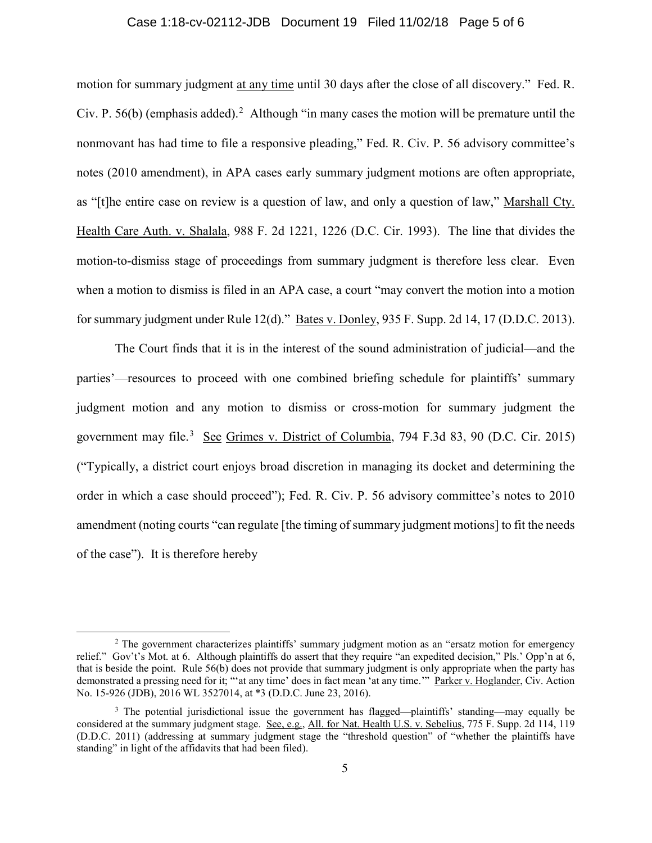#### Case 1:18-cv-02112-JDB Document 19 Filed 11/02/18 Page 5 of 6

motion for summary judgment at any time until 30 days after the close of all discovery." Fed. R. Civ. P. 56(b) (emphasis added).<sup>[2](#page-4-0)</sup> Although "in many cases the motion will be premature until the nonmovant has had time to file a responsive pleading," Fed. R. Civ. P. 56 advisory committee's notes (2010 amendment), in APA cases early summary judgment motions are often appropriate, as "[t]he entire case on review is a question of law, and only a question of law," Marshall Cty. Health Care Auth. v. Shalala, 988 F. 2d 1221, 1226 (D.C. Cir. 1993). The line that divides the motion-to-dismiss stage of proceedings from summary judgment is therefore less clear. Even when a motion to dismiss is filed in an APA case, a court "may convert the motion into a motion for summary judgment under Rule 12(d)." Bates v. Donley, 935 F. Supp. 2d 14, 17 (D.D.C. 2013).

The Court finds that it is in the interest of the sound administration of judicial—and the parties'—resources to proceed with one combined briefing schedule for plaintiffs' summary judgment motion and any motion to dismiss or cross-motion for summary judgment the government may file.<sup>[3](#page-4-1)</sup> See Grimes v. District of Columbia, 794 F.3d 83, 90 (D.C. Cir. 2015) ("Typically, a district court enjoys broad discretion in managing its docket and determining the order in which a case should proceed"); Fed. R. Civ. P. 56 advisory committee's notes to 2010 amendment (noting courts "can regulate [the timing of summary judgment motions] to fit the needs of the case"). It is therefore hereby

<span id="page-4-0"></span> <sup>2</sup> The government characterizes plaintiffs' summary judgment motion as an "ersatz motion for emergency relief." Gov't's Mot. at 6. Although plaintiffs do assert that they require "an expedited decision," Pls.' Opp'n at 6, that is beside the point. Rule 56(b) does not provide that summary judgment is only appropriate when the party has demonstrated a pressing need for it; ""at any time' does in fact mean 'at any time."" Parker v. Hoglander, Civ. Action No. 15-926 (JDB), 2016 WL 3527014, at \*3 (D.D.C. June 23, 2016).

<span id="page-4-1"></span><sup>&</sup>lt;sup>3</sup> The potential jurisdictional issue the government has flagged—plaintiffs' standing—may equally be considered at the summary judgment stage. See, e.g., All. for Nat. Health U.S. v. Sebelius, 775 F. Supp. 2d 114, 119 (D.D.C. 2011) (addressing at summary judgment stage the "threshold question" of "whether the plaintiffs have standing" in light of the affidavits that had been filed).